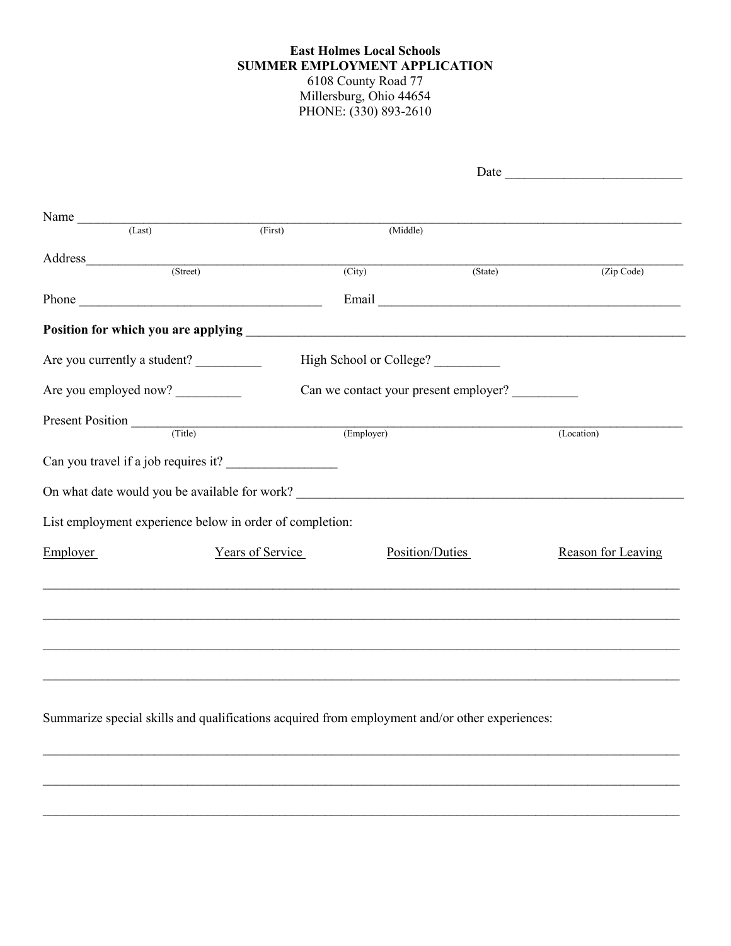## **East Holmes Local Schools SUMMER EMPLOYMENT APPLICATION** 6108 County Road 77 Millersburg, Ohio 44654 PHONE: (330) 893-2610

|                                                                                                                                                                                                                                                                                                                                                                                                                     |                  |                                       | Date $\frac{ }{ }$ |                    |
|---------------------------------------------------------------------------------------------------------------------------------------------------------------------------------------------------------------------------------------------------------------------------------------------------------------------------------------------------------------------------------------------------------------------|------------------|---------------------------------------|--------------------|--------------------|
|                                                                                                                                                                                                                                                                                                                                                                                                                     |                  |                                       |                    |                    |
|                                                                                                                                                                                                                                                                                                                                                                                                                     |                  |                                       |                    |                    |
| Name $\frac{1}{\sqrt{1-\frac{1}{1-\frac{1}{1-\frac{1}{1-\frac{1}{1-\frac{1}{1-\frac{1}{1-\frac{1}{1-\frac{1}{1-\frac{1}{1-\frac{1}{1-\frac{1}{1-\frac{1}{1-\frac{1}{1-\frac{1}{1-\frac{1}{1-\frac{1}{1-\frac{1}{1-\frac{1}{1-\frac{1}{1-\frac{1}{1-\frac{1}{1-\frac{1}{1-\frac{1}{1-\frac{1}{1-\frac{1}{1-\frac{1}{1-\frac{1}{1-\frac{1}{1-\frac{1}{1-\frac{1}{1-\frac{1}{1-\frac{1}{1-\frac{1}{1-\frac{1}{1-\frac$ | (First)          | (Middle)                              |                    |                    |
|                                                                                                                                                                                                                                                                                                                                                                                                                     |                  |                                       |                    |                    |
| (Street)                                                                                                                                                                                                                                                                                                                                                                                                            |                  |                                       |                    |                    |
|                                                                                                                                                                                                                                                                                                                                                                                                                     |                  | $\overline{(City)}$                   | $(\text{State})$   | (Zip Code)         |
|                                                                                                                                                                                                                                                                                                                                                                                                                     |                  |                                       |                    |                    |
|                                                                                                                                                                                                                                                                                                                                                                                                                     |                  |                                       |                    |                    |
| Are you currently a student?                                                                                                                                                                                                                                                                                                                                                                                        |                  | High School or College?               |                    |                    |
| Are you employed now?                                                                                                                                                                                                                                                                                                                                                                                               |                  | Can we contact your present employer? |                    |                    |
| Present Position (Title)                                                                                                                                                                                                                                                                                                                                                                                            |                  |                                       |                    |                    |
|                                                                                                                                                                                                                                                                                                                                                                                                                     |                  | (Employer)                            |                    | (Location)         |
|                                                                                                                                                                                                                                                                                                                                                                                                                     |                  |                                       |                    |                    |
| On what date would you be available for work?                                                                                                                                                                                                                                                                                                                                                                       |                  |                                       |                    |                    |
| List employment experience below in order of completion:                                                                                                                                                                                                                                                                                                                                                            |                  |                                       |                    |                    |
| Employer                                                                                                                                                                                                                                                                                                                                                                                                            | Years of Service | Position/Duties                       |                    | Reason for Leaving |
|                                                                                                                                                                                                                                                                                                                                                                                                                     |                  |                                       |                    |                    |
|                                                                                                                                                                                                                                                                                                                                                                                                                     |                  |                                       |                    |                    |
|                                                                                                                                                                                                                                                                                                                                                                                                                     |                  |                                       |                    |                    |
|                                                                                                                                                                                                                                                                                                                                                                                                                     |                  |                                       |                    |                    |
| Summarize special skills and qualifications acquired from employment and/or other experiences:                                                                                                                                                                                                                                                                                                                      |                  |                                       |                    |                    |
|                                                                                                                                                                                                                                                                                                                                                                                                                     |                  |                                       |                    |                    |

 $\_$ 

\_\_\_\_\_\_\_\_\_\_\_\_\_\_\_\_\_\_\_\_\_\_\_\_\_\_\_\_\_\_\_\_\_\_\_\_\_\_\_\_\_\_\_\_\_\_\_\_\_\_\_\_\_\_\_\_\_\_\_\_\_\_\_\_\_\_\_\_\_\_\_\_\_\_\_\_\_\_\_\_\_\_\_\_\_\_\_\_\_\_\_\_\_\_\_\_\_